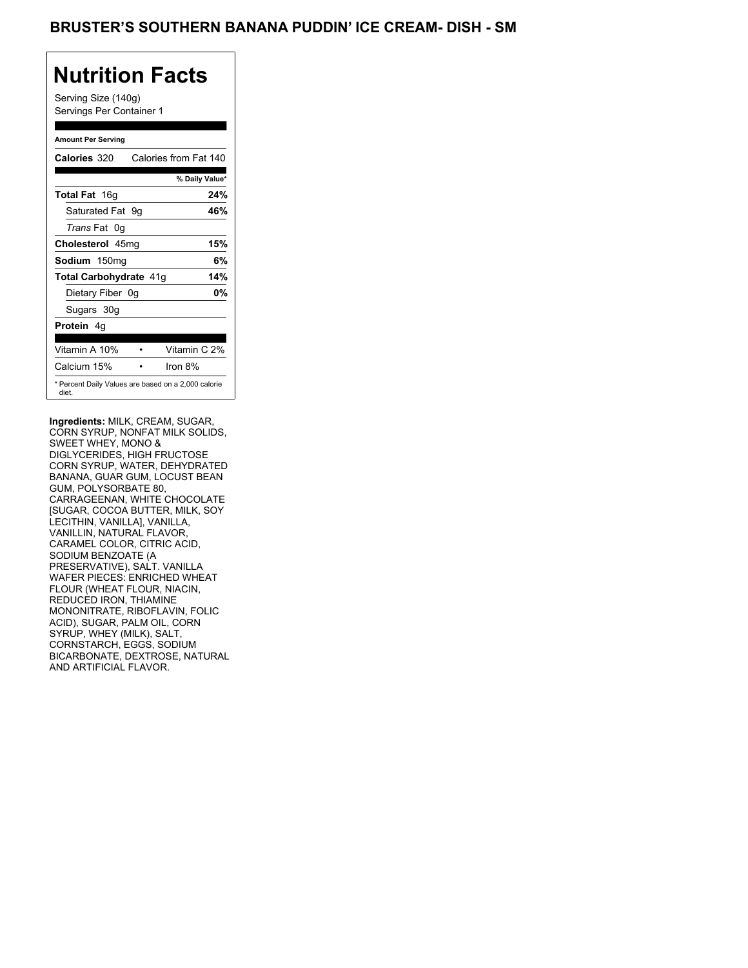Serving Size (140g) Servings Per Container 1

### **Amount Per Serving**

| Calories 320           | Calories from Fat 140                               |
|------------------------|-----------------------------------------------------|
|                        | % Daily Value*                                      |
| <b>Total Fat</b> 16g   | 24%                                                 |
| Saturated Fat 9q       | 46%                                                 |
| <i>Trans</i> Fat 0q    |                                                     |
| Cholesterol 45mg       | 15%                                                 |
| Sodium 150mg           | 6%                                                  |
| Total Carbohydrate 41g | 14%                                                 |
| Dietary Fiber 0g       | 0%                                                  |
| Sugars 30g             |                                                     |
| <b>Protein</b> 4q      |                                                     |
| Vitamin A 10%          | Vitamin C 2%                                        |
| Calcium 15%            | Iron 8%                                             |
| diet.                  | * Percent Daily Values are based on a 2,000 calorie |

**Ingredients:** MILK, CREAM, SUGAR, CORN SYRUP, NONFAT MILK SOLIDS, SWEET WHEY, MONO & DIGLYCERIDES, HIGH FRUCTOSE CORN SYRUP, WATER, DEHYDRATED BANANA, GUAR GUM, LOCUST BEAN GUM, POLYSORBATE 80, CARRAGEENAN, WHITE CHOCOLATE [SUGAR, COCOA BUTTER, MILK, SOY LECITHIN, VANILLA], VANILLA, VANILLIN, NATURAL FLAVOR, CARAMEL COLOR, CITRIC ACID, SODIUM BENZOATE (A PRESERVATIVE), SALT. VANILLA WAFER PIECES: ENRICHED WHEAT FLOUR (WHEAT FLOUR, NIACIN, REDUCED IRON, THIAMINE MONONITRATE, RIBOFLAVIN, FOLIC ACID), SUGAR, PALM OIL, CORN SYRUP, WHEY (MILK), SALT, CORNSTARCH, EGGS, SODIUM BICARBONATE, DEXTROSE, NATURAL AND ARTIFICIAL FLAVOR.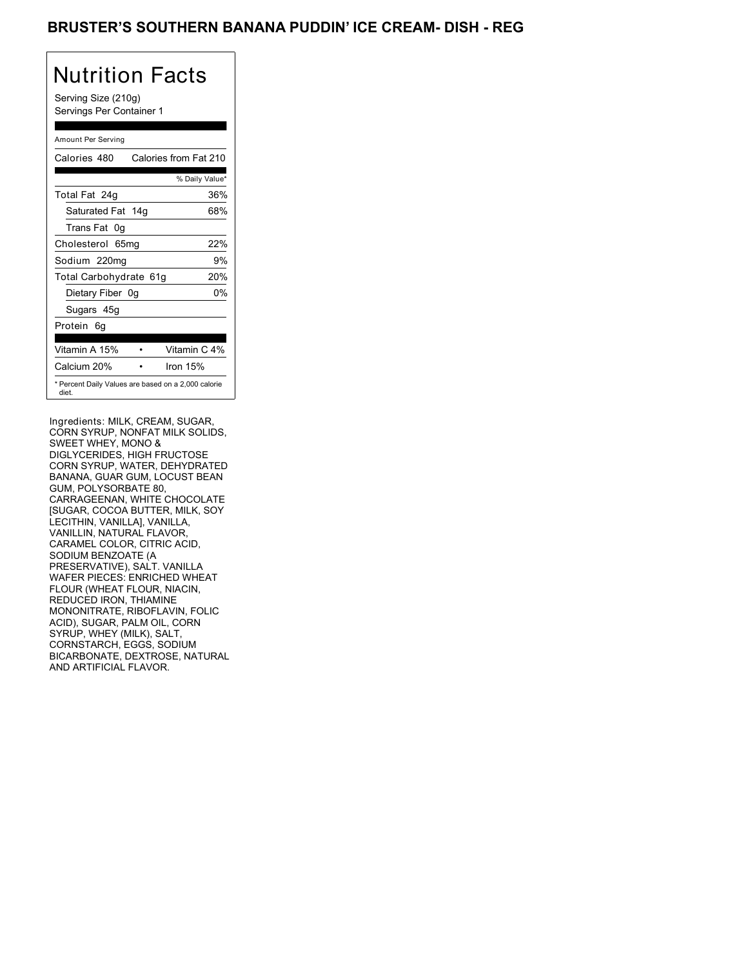### BRUSTER'S SOUTHERN BANANA PUDDIN' ICE CREAM- DISH - REG

# Nutrition Facts

Serving Size (210g) Servings Per Container 1

### Amount Per Serving

| Calories 480                                                 | Calories from Fat 210 |
|--------------------------------------------------------------|-----------------------|
|                                                              | % Daily Value*        |
| Total Fat 24g                                                | 36%                   |
| Saturated Fat 14g                                            | 68%                   |
| Trans Fat 0q                                                 |                       |
| Cholesterol 65mg                                             | 22%                   |
| Sodium 220mg                                                 | 9%                    |
| Total Carbohydrate 61g                                       | 20%                   |
| Dietary Fiber 0g                                             | 0%                    |
| Sugars 45g                                                   |                       |
| Protein 6q                                                   |                       |
| Vitamin A 15%                                                | Vitamin C 4%          |
| Calcium 20%                                                  | Iron $15%$            |
| * Percent Daily Values are based on a 2,000 calorie<br>diet. |                       |

Ingredients: MILK, CREAM, SUGAR, CORN SYRUP, NONFAT MILK SOLIDS, SWEET WHEY, MONO & DIGLYCERIDES, HIGH FRUCTOSE CORN SYRUP, WATER, DEHYDRATED BANANA, GUAR GUM, LOCUST BEAN GUM, POLYSORBATE 80, CARRAGEENAN, WHITE CHOCOLATE [SUGAR, COCOA BUTTER, MILK, SOY LECITHIN, VANILLA], VANILLA, VANILLIN, NATURAL FLAVOR, CARAMEL COLOR, CITRIC ACID, SODIUM BENZOATE (A PRESERVATIVE), SALT. VANILLA WAFER PIECES: ENRICHED WHEAT FLOUR (WHEAT FLOUR, NIACIN, REDUCED IRON, THIAMINE MONONITRATE, RIBOFLAVIN, FOLIC ACID), SUGAR, PALM OIL, CORN SYRUP, WHEY (MILK), SALT, CORNSTARCH, EGGS, SODIUM BICARBONATE, DEXTROSE, NATURAL AND ARTIFICIAL FLAVOR.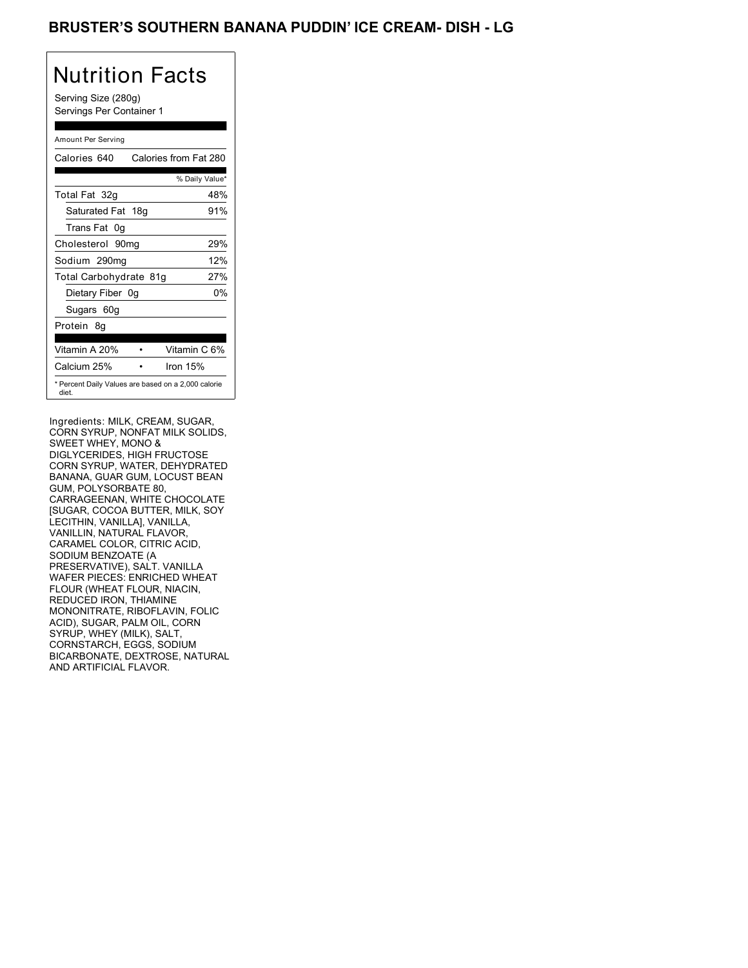### BRUSTER'S SOUTHERN BANANA PUDDIN' ICE CREAM- DISH - LG

# Nutrition Facts

Serving Size (280g) Servings Per Container 1

#### Amount Per Serving

| Calories 640           | Calories from Fat 280                               |
|------------------------|-----------------------------------------------------|
|                        | % Daily Value*                                      |
| Total Fat 32g          | 48%                                                 |
| Saturated Fat 18g      | 91%                                                 |
| Trans Fat 0q           |                                                     |
| Cholesterol 90mg       | 29%                                                 |
| Sodium 290mg           | 12%                                                 |
| Total Carbohydrate 81g | 27%                                                 |
| Dietary Fiber 0g       | 0%                                                  |
| Sugars 60g             |                                                     |
| Protein 8q             |                                                     |
|                        |                                                     |
| Vitamin A 20%          | Vitamin C 6%                                        |
| Calcium 25%            | Iron $15%$                                          |
| diet.                  | * Percent Daily Values are based on a 2,000 calorie |

Ingredients: MILK, CREAM, SUGAR, CORN SYRUP, NONFAT MILK SOLIDS, SWEET WHEY, MONO & DIGLYCERIDES, HIGH FRUCTOSE CORN SYRUP, WATER, DEHYDRATED BANANA, GUAR GUM, LOCUST BEAN GUM, POLYSORBATE 80, CARRAGEENAN, WHITE CHOCOLATE [SUGAR, COCOA BUTTER, MILK, SOY LECITHIN, VANILLA], VANILLA, VANILLIN, NATURAL FLAVOR, CARAMEL COLOR, CITRIC ACID, SODIUM BENZOATE (A PRESERVATIVE), SALT. VANILLA WAFER PIECES: ENRICHED WHEAT FLOUR (WHEAT FLOUR, NIACIN, REDUCED IRON, THIAMINE MONONITRATE, RIBOFLAVIN, FOLIC ACID), SUGAR, PALM OIL, CORN SYRUP, WHEY (MILK), SALT, CORNSTARCH, EGGS, SODIUM BICARBONATE, DEXTROSE, NATURAL AND ARTIFICIAL FLAVOR.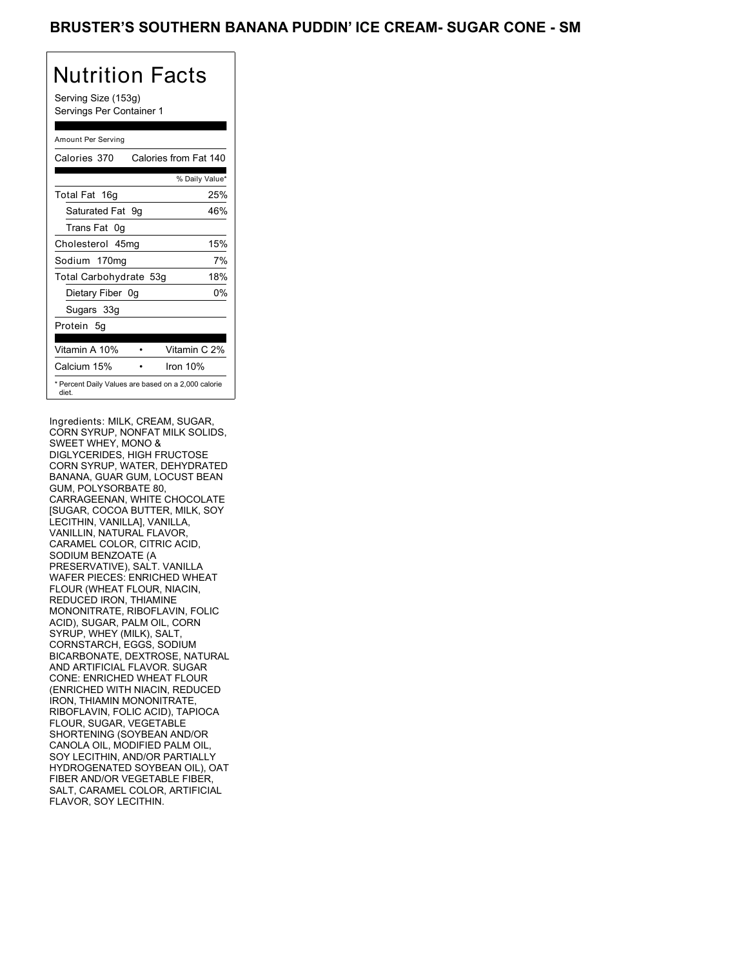Serving Size (153g) Servings Per Container 1

### Amount Per Serving

| Calories 370           | Calories from Fat 140                               |
|------------------------|-----------------------------------------------------|
|                        | % Daily Value*                                      |
| Total Fat 16g          | 25%                                                 |
| Saturated Fat 9g       | 46%                                                 |
| Trans Fat 0q           |                                                     |
| Cholesterol 45mg       | 15%                                                 |
| Sodium 170mg           | 7%                                                  |
| Total Carbohydrate 53g | 18%                                                 |
| Dietary Fiber 0g       | 0%                                                  |
| Sugars 33g             |                                                     |
| Protein 5g             |                                                     |
| Vitamin A 10%          | Vitamin C 2%                                        |
| Calcium 15%            | Iron $10%$                                          |
| diet.                  | * Percent Daily Values are based on a 2,000 calorie |

Ingredients: MILK, CREAM, SUGAR, CORN SYRUP, NONFAT MILK SOLIDS, SWEET WHEY, MONO & DIGLYCERIDES, HIGH FRUCTOSE CORN SYRUP, WATER, DEHYDRATED BANANA, GUAR GUM, LOCUST BEAN GUM, POLYSORBATE 80, CARRAGEENAN, WHITE CHOCOLATE [SUGAR, COCOA BUTTER, MILK, SOY LECITHIN, VANILLA], VANILLA, VANILLIN, NATURAL FLAVOR, CARAMEL COLOR, CITRIC ACID, SODIUM BENZOATE (A PRESERVATIVE), SALT. VANILLA WAFER PIECES: ENRICHED WHEAT FLOUR (WHEAT FLOUR, NIACIN, REDUCED IRON, THIAMINE MONONITRATE, RIBOFLAVIN, FOLIC ACID), SUGAR, PALM OIL, CORN SYRUP, WHEY (MILK), SALT, CORNSTARCH, EGGS, SODIUM BICARBONATE, DEXTROSE, NATURAL AND ARTIFICIAL FLAVOR. SUGAR CONE: ENRICHED WHEAT FLOUR (ENRICHED WITH NIACIN, REDUCED IRON, THIAMIN MONONITRATE, RIBOFLAVIN, FOLIC ACID), TAPIOCA FLOUR, SUGAR, VEGETABLE SHORTENING (SOYBEAN AND/OR CANOLA OIL, MODIFIED PALM OIL, SOY LECITHIN, AND/OR PARTIALLY HYDROGENATED SOYBEAN OIL), OAT FIBER AND/OR VEGETABLE FIBER, SALT, CARAMEL COLOR, ARTIFICIAL FLAVOR, SOY LECITHIN.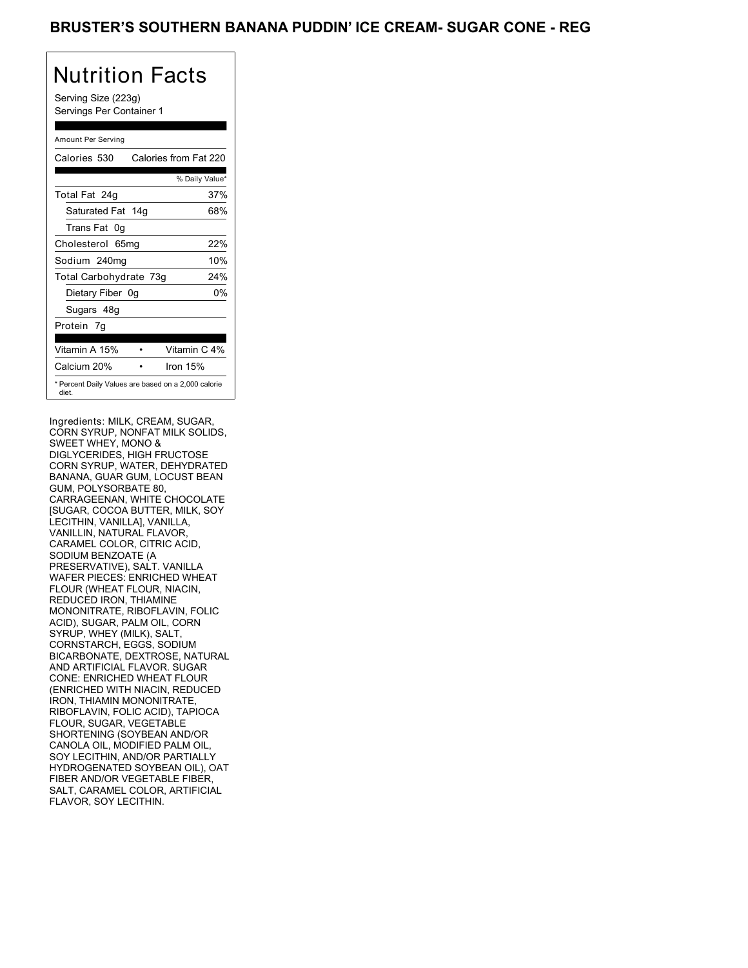Serving Size (223g) Servings Per Container 1

### Amount Per Serving

| Calories 530           | Calories from Fat 220                               |
|------------------------|-----------------------------------------------------|
|                        | % Daily Value*                                      |
| Total Fat 24g          | 37%                                                 |
| Saturated Fat 14g      | 68%                                                 |
| Trans Fat 0q           |                                                     |
| Cholesterol 65mg       | 22%                                                 |
| Sodium 240mg           | 10%                                                 |
| Total Carbohydrate 73g | 24%                                                 |
| Dietary Fiber 0g       | 0%                                                  |
| Sugars 48g             |                                                     |
| Protein 7q             |                                                     |
| Vitamin A 15%          | Vitamin C 4%                                        |
| Calcium 20%            | Iron $15%$                                          |
| diet.                  | * Percent Daily Values are based on a 2,000 calorie |

Ingredients: MILK, CREAM, SUGAR, CORN SYRUP, NONFAT MILK SOLIDS, SWEET WHEY, MONO & DIGLYCERIDES, HIGH FRUCTOSE CORN SYRUP, WATER, DEHYDRATED BANANA, GUAR GUM, LOCUST BEAN GUM, POLYSORBATE 80, CARRAGEENAN, WHITE CHOCOLATE [SUGAR, COCOA BUTTER, MILK, SOY LECITHIN, VANILLA], VANILLA, VANILLIN, NATURAL FLAVOR, CARAMEL COLOR, CITRIC ACID, SODIUM BENZOATE (A PRESERVATIVE), SALT. VANILLA WAFER PIECES: ENRICHED WHEAT FLOUR (WHEAT FLOUR, NIACIN, REDUCED IRON, THIAMINE MONONITRATE, RIBOFLAVIN, FOLIC ACID), SUGAR, PALM OIL, CORN SYRUP, WHEY (MILK), SALT, CORNSTARCH, EGGS, SODIUM BICARBONATE, DEXTROSE, NATURAL AND ARTIFICIAL FLAVOR. SUGAR CONE: ENRICHED WHEAT FLOUR (ENRICHED WITH NIACIN, REDUCED IRON, THIAMIN MONONITRATE, RIBOFLAVIN, FOLIC ACID), TAPIOCA FLOUR, SUGAR, VEGETABLE SHORTENING (SOYBEAN AND/OR CANOLA OIL, MODIFIED PALM OIL, SOY LECITHIN, AND/OR PARTIALLY HYDROGENATED SOYBEAN OIL), OAT FIBER AND/OR VEGETABLE FIBER, SALT, CARAMEL COLOR, ARTIFICIAL FLAVOR, SOY LECITHIN.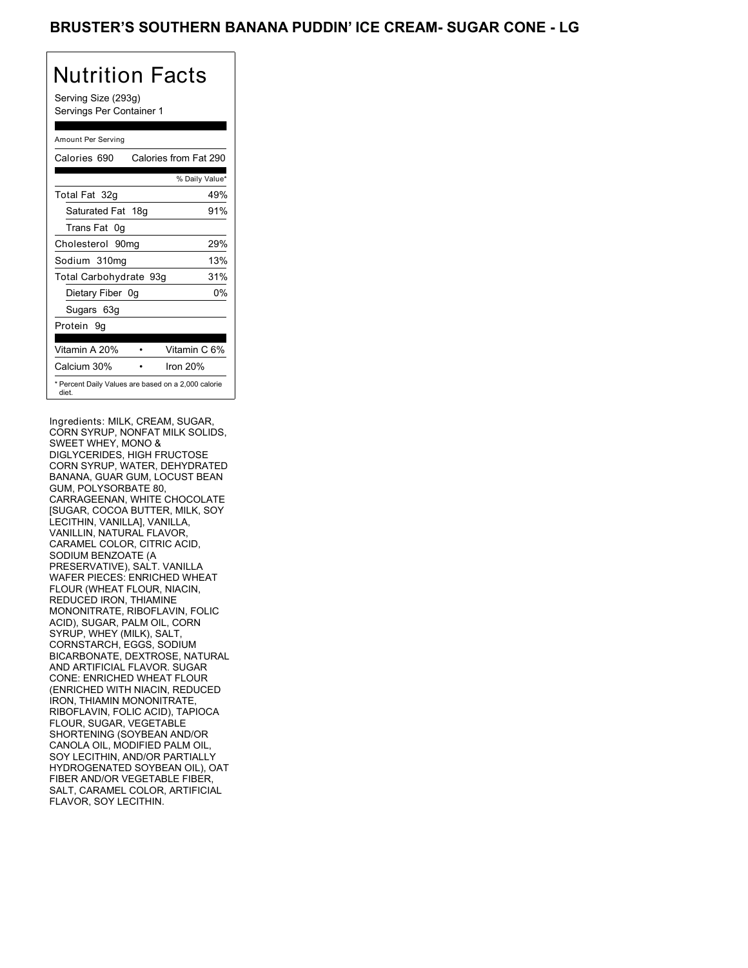Serving Size (293g) Servings Per Container 1

### Amount Per Serving

| Calories 690           | Calories from Fat 290                               |
|------------------------|-----------------------------------------------------|
|                        | % Daily Value*                                      |
| Total Fat 32g          | 49%                                                 |
| Saturated Fat 18g      | 91%                                                 |
| Trans Fat 0q           |                                                     |
| Cholesterol 90mg       | 29%                                                 |
| Sodium 310mg           | 13%                                                 |
| Total Carbohydrate 93g | 31%                                                 |
| Dietary Fiber 0g       | 0%                                                  |
| Sugars 63g             |                                                     |
| Protein 9q             |                                                     |
|                        |                                                     |
| Vitamin A 20%          | Vitamin C 6%                                        |
| Calcium 30%            | Iron $20%$                                          |
| diet.                  | * Percent Daily Values are based on a 2,000 calorie |

Ingredients: MILK, CREAM, SUGAR, CORN SYRUP, NONFAT MILK SOLIDS, SWEET WHEY, MONO & DIGLYCERIDES, HIGH FRUCTOSE CORN SYRUP, WATER, DEHYDRATED BANANA, GUAR GUM, LOCUST BEAN GUM, POLYSORBATE 80, CARRAGEENAN, WHITE CHOCOLATE [SUGAR, COCOA BUTTER, MILK, SOY LECITHIN, VANILLA], VANILLA, VANILLIN, NATURAL FLAVOR, CARAMEL COLOR, CITRIC ACID, SODIUM BENZOATE (A PRESERVATIVE), SALT. VANILLA WAFER PIECES: ENRICHED WHEAT FLOUR (WHEAT FLOUR, NIACIN, REDUCED IRON, THIAMINE MONONITRATE, RIBOFLAVIN, FOLIC ACID), SUGAR, PALM OIL, CORN SYRUP, WHEY (MILK), SALT, CORNSTARCH, EGGS, SODIUM BICARBONATE, DEXTROSE, NATURAL AND ARTIFICIAL FLAVOR. SUGAR CONE: ENRICHED WHEAT FLOUR (ENRICHED WITH NIACIN, REDUCED IRON, THIAMIN MONONITRATE, RIBOFLAVIN, FOLIC ACID), TAPIOCA FLOUR, SUGAR, VEGETABLE SHORTENING (SOYBEAN AND/OR CANOLA OIL, MODIFIED PALM OIL, SOY LECITHIN, AND/OR PARTIALLY HYDROGENATED SOYBEAN OIL), OAT FIBER AND/OR VEGETABLE FIBER, SALT, CARAMEL COLOR, ARTIFICIAL FLAVOR, SOY LECITHIN.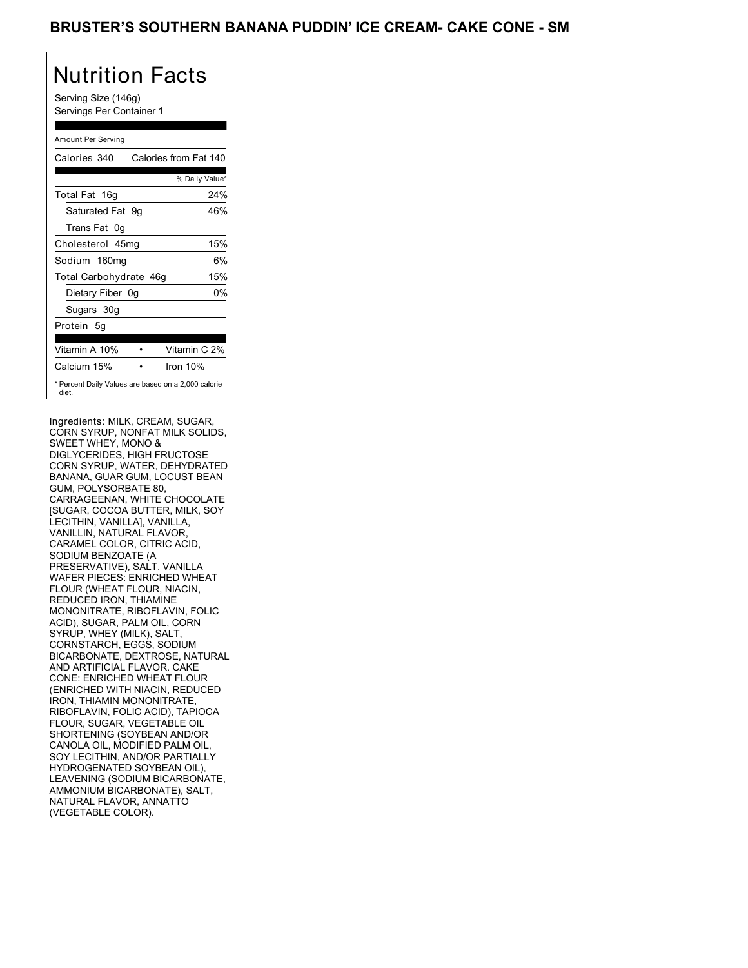Serving Size (146g) Servings Per Container 1

### Amount Per Serving

| Calories 340           | Calories from Fat 140                               |
|------------------------|-----------------------------------------------------|
|                        | % Daily Value*                                      |
| Total Fat 16g          | 24%                                                 |
| Saturated Fat 9q       | 46%                                                 |
| Trans Fat 0q           |                                                     |
| Cholesterol 45mg       | 15%                                                 |
| Sodium 160mg           | 6%                                                  |
| Total Carbohydrate 46g | 15%                                                 |
| Dietary Fiber 0g       | 0%                                                  |
| Sugars 30g             |                                                     |
| Protein 5q             |                                                     |
| Vitamin A 10%          | Vitamin C 2%                                        |
| Calcium 15%            | Iron $10%$                                          |
| diet.                  | * Percent Daily Values are based on a 2,000 calorie |

Ingredients: MILK, CREAM, SUGAR, CORN SYRUP, NONFAT MILK SOLIDS, SWEET WHEY, MONO & DIGLYCERIDES, HIGH FRUCTOSE CORN SYRUP, WATER, DEHYDRATED BANANA, GUAR GUM, LOCUST BEAN GUM, POLYSORBATE 80, CARRAGEENAN, WHITE CHOCOLATE [SUGAR, COCOA BUTTER, MILK, SOY LECITHIN, VANILLA], VANILLA, VANILLIN, NATURAL FLAVOR, CARAMEL COLOR, CITRIC ACID, SODIUM BENZOATE (A PRESERVATIVE), SALT. VANILLA WAFER PIECES: ENRICHED WHEAT FLOUR (WHEAT FLOUR, NIACIN, REDUCED IRON, THIAMINE MONONITRATE, RIBOFLAVIN, FOLIC ACID), SUGAR, PALM OIL, CORN SYRUP, WHEY (MILK), SALT, CORNSTARCH, EGGS, SODIUM BICARBONATE, DEXTROSE, NATURAL AND ARTIFICIAL FLAVOR. CAKE CONE: ENRICHED WHEAT FLOUR (ENRICHED WITH NIACIN, REDUCED IRON, THIAMIN MONONITRATE, RIBOFLAVIN, FOLIC ACID), TAPIOCA FLOUR, SUGAR, VEGETABLE OIL SHORTENING (SOYBEAN AND/OR CANOLA OIL, MODIFIED PALM OIL, SOY LECITHIN, AND/OR PARTIALLY HYDROGENATED SOYBEAN OIL), LEAVENING (SODIUM BICARBONATE, AMMONIUM BICARBONATE), SALT, NATURAL FLAVOR, ANNATTO (VEGETABLE COLOR).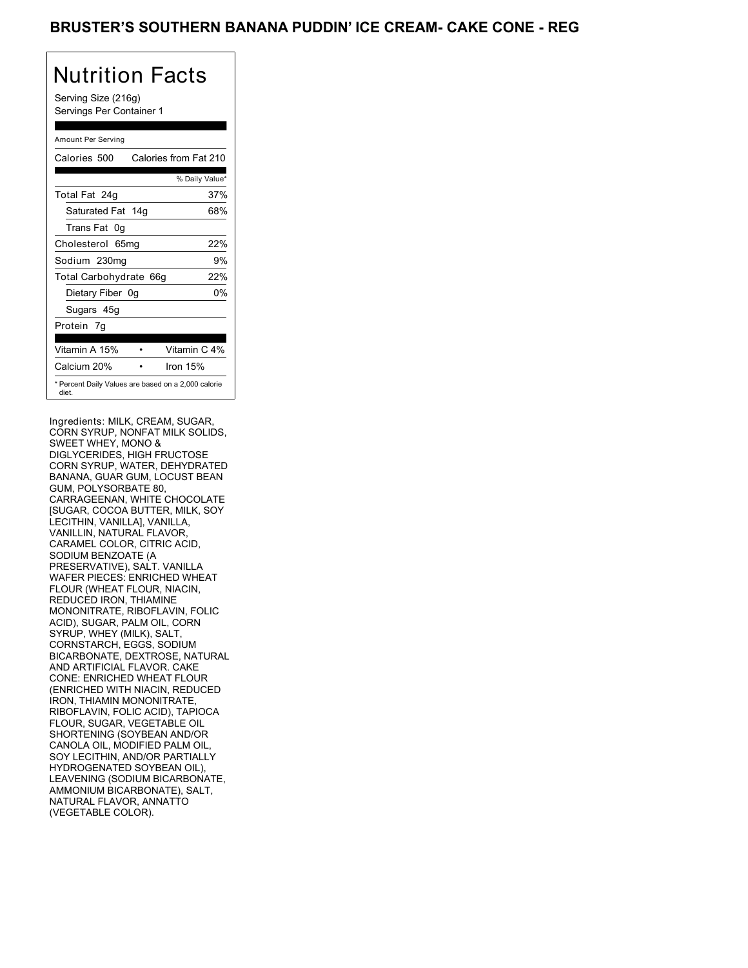Serving Size (216g) Servings Per Container 1

### Amount Per Serving

| Calories 500                                                 | Calories from Fat 210 |
|--------------------------------------------------------------|-----------------------|
|                                                              | % Daily Value*        |
| Total Fat 24g                                                | 37%                   |
| Saturated Fat 14g                                            | 68%                   |
| Trans Fat 0q                                                 |                       |
| Cholesterol 65mg                                             | 22%                   |
| Sodium 230mg                                                 | 9%                    |
| Total Carbohydrate 66g                                       | 22%                   |
| Dietary Fiber 0g                                             | 0%                    |
| Sugars 45g                                                   |                       |
| Protein 7q                                                   |                       |
|                                                              |                       |
| Vitamin A 15%                                                | Vitamin C 4%          |
| Calcium 20%                                                  | Iron $15%$            |
| * Percent Daily Values are based on a 2,000 calorie<br>diet. |                       |

Ingredients: MILK, CREAM, SUGAR, CORN SYRUP, NONFAT MILK SOLIDS, SWEET WHEY, MONO & DIGLYCERIDES, HIGH FRUCTOSE CORN SYRUP, WATER, DEHYDRATED BANANA, GUAR GUM, LOCUST BEAN GUM, POLYSORBATE 80, CARRAGEENAN, WHITE CHOCOLATE [SUGAR, COCOA BUTTER, MILK, SOY LECITHIN, VANILLA], VANILLA, VANILLIN, NATURAL FLAVOR, CARAMEL COLOR, CITRIC ACID, SODIUM BENZOATE (A PRESERVATIVE), SALT. VANILLA WAFER PIECES: ENRICHED WHEAT FLOUR (WHEAT FLOUR, NIACIN, REDUCED IRON, THIAMINE MONONITRATE, RIBOFLAVIN, FOLIC ACID), SUGAR, PALM OIL, CORN SYRUP, WHEY (MILK), SALT, CORNSTARCH, EGGS, SODIUM BICARBONATE, DEXTROSE, NATURAL AND ARTIFICIAL FLAVOR. CAKE CONE: ENRICHED WHEAT FLOUR (ENRICHED WITH NIACIN, REDUCED IRON, THIAMIN MONONITRATE, RIBOFLAVIN, FOLIC ACID), TAPIOCA FLOUR, SUGAR, VEGETABLE OIL SHORTENING (SOYBEAN AND/OR CANOLA OIL, MODIFIED PALM OIL, SOY LECITHIN, AND/OR PARTIALLY HYDROGENATED SOYBEAN OIL), LEAVENING (SODIUM BICARBONATE, AMMONIUM BICARBONATE), SALT, NATURAL FLAVOR, ANNATTO (VEGETABLE COLOR).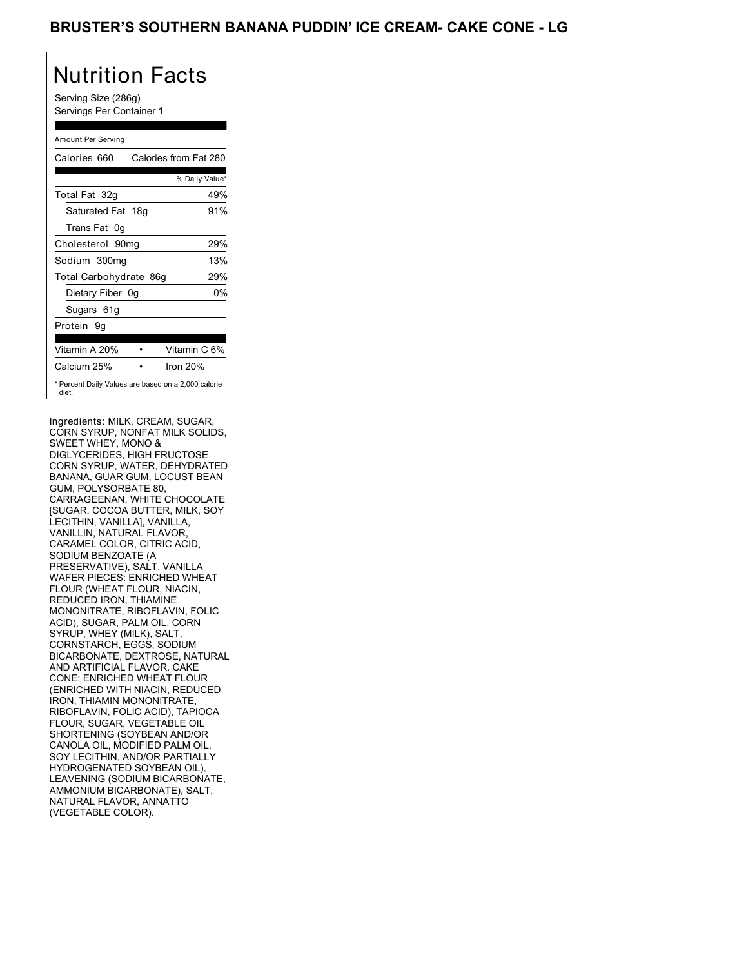Serving Size (286g) Servings Per Container 1

### Amount Per Serving

| Calories 660           | Calories from Fat 280                               |
|------------------------|-----------------------------------------------------|
|                        | % Daily Value*                                      |
| Total Fat 32g          | 49%                                                 |
| Saturated Fat 18g      | 91%                                                 |
| Trans Fat 0q           |                                                     |
| Cholesterol 90mg       | 29%                                                 |
| Sodium 300mg           | 13%                                                 |
| Total Carbohydrate 86g | 29%                                                 |
| Dietary Fiber 0g       | 0%                                                  |
| Sugars 61g             |                                                     |
| Protein 9q             |                                                     |
| Vitamin A 20%          | Vitamin C 6%                                        |
| Calcium 25%            | Iron $20%$                                          |
| diet.                  | * Percent Daily Values are based on a 2,000 calorie |

Ingredients: MILK, CREAM, SUGAR, CORN SYRUP, NONFAT MILK SOLIDS, SWEET WHEY, MONO & DIGLYCERIDES, HIGH FRUCTOSE CORN SYRUP, WATER, DEHYDRATED BANANA, GUAR GUM, LOCUST BEAN GUM, POLYSORBATE 80, CARRAGEENAN, WHITE CHOCOLATE [SUGAR, COCOA BUTTER, MILK, SOY LECITHIN, VANILLA], VANILLA, VANILLIN, NATURAL FLAVOR, CARAMEL COLOR, CITRIC ACID, SODIUM BENZOATE (A PRESERVATIVE), SALT. VANILLA WAFER PIECES: ENRICHED WHEAT FLOUR (WHEAT FLOUR, NIACIN, REDUCED IRON, THIAMINE MONONITRATE, RIBOFLAVIN, FOLIC ACID), SUGAR, PALM OIL, CORN SYRUP, WHEY (MILK), SALT, CORNSTARCH, EGGS, SODIUM BICARBONATE, DEXTROSE, NATURAL AND ARTIFICIAL FLAVOR. CAKE CONE: ENRICHED WHEAT FLOUR (ENRICHED WITH NIACIN, REDUCED IRON, THIAMIN MONONITRATE, RIBOFLAVIN, FOLIC ACID), TAPIOCA FLOUR, SUGAR, VEGETABLE OIL SHORTENING (SOYBEAN AND/OR CANOLA OIL, MODIFIED PALM OIL, SOY LECITHIN, AND/OR PARTIALLY HYDROGENATED SOYBEAN OIL), LEAVENING (SODIUM BICARBONATE, AMMONIUM BICARBONATE), SALT, NATURAL FLAVOR, ANNATTO (VEGETABLE COLOR).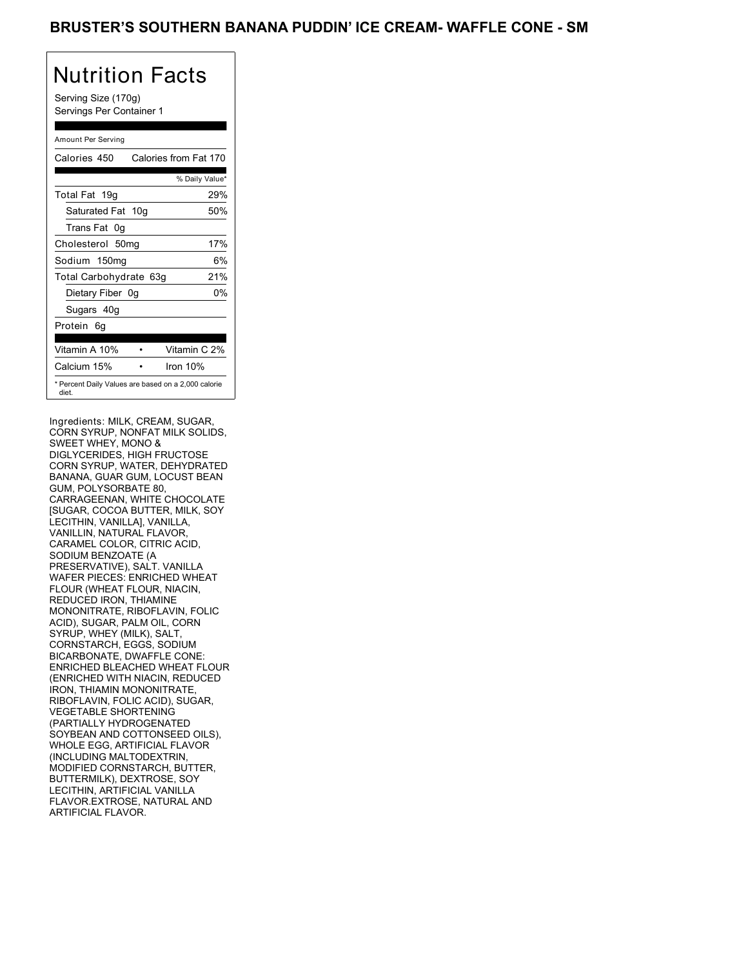Serving Size (170g) Servings Per Container 1

### Amount Per Serving

| Calories 450                                                 | Calories from Fat 170 |
|--------------------------------------------------------------|-----------------------|
|                                                              | % Daily Value*        |
| Total Fat 19g                                                | 29%                   |
| Saturated Fat 10g                                            | 50%                   |
| Trans Fat 0q                                                 |                       |
| Cholesterol 50mg                                             | 17%                   |
| Sodium 150mg                                                 | 6%                    |
| Total Carbohydrate 63g                                       | 21%                   |
| Dietary Fiber 0g                                             | 0%                    |
| Sugars 40g                                                   |                       |
| Protein 6q                                                   |                       |
| Vitamin A 10%                                                | Vitamin C 2%          |
| Calcium 15%                                                  | Iron $10%$            |
| * Percent Daily Values are based on a 2,000 calorie<br>diet. |                       |

Ingredients: MILK, CREAM, SUGAR, CORN SYRUP, NONFAT MILK SOLIDS, SWEET WHEY, MONO & DIGLYCERIDES, HIGH FRUCTOSE CORN SYRUP, WATER, DEHYDRATED BANANA, GUAR GUM, LOCUST BEAN GUM, POLYSORBATE 80, CARRAGEENAN, WHITE CHOCOLATE [SUGAR, COCOA BUTTER, MILK, SOY LECITHIN, VANILLA], VANILLA, VANILLIN, NATURAL FLAVOR, CARAMEL COLOR, CITRIC ACID, SODIUM BENZOATE (A PRESERVATIVE), SALT. VANILLA WAFER PIECES: ENRICHED WHEAT FLOUR (WHEAT FLOUR, NIACIN, REDUCED IRON, THIAMINE MONONITRATE, RIBOFLAVIN, FOLIC ACID), SUGAR, PALM OIL, CORN SYRUP, WHEY (MILK), SALT, CORNSTARCH, EGGS, SODIUM BICARBONATE, DWAFFLE CONE: ENRICHED BLEACHED WHEAT FLOUR (ENRICHED WITH NIACIN, REDUCED IRON, THIAMIN MONONITRATE, RIBOFLAVIN, FOLIC ACID), SUGAR, VEGETABLE SHORTENING (PARTIALLY HYDROGENATED SOYBEAN AND COTTONSEED OILS), WHOLE EGG, ARTIFICIAL FLAVOR (INCLUDING MALTODEXTRIN, MODIFIED CORNSTARCH, BUTTER, BUTTERMILK), DEXTROSE, SOY LECITHIN, ARTIFICIAL VANILLA FLAVOR.EXTROSE, NATURAL AND ARTIFICIAL FLAVOR.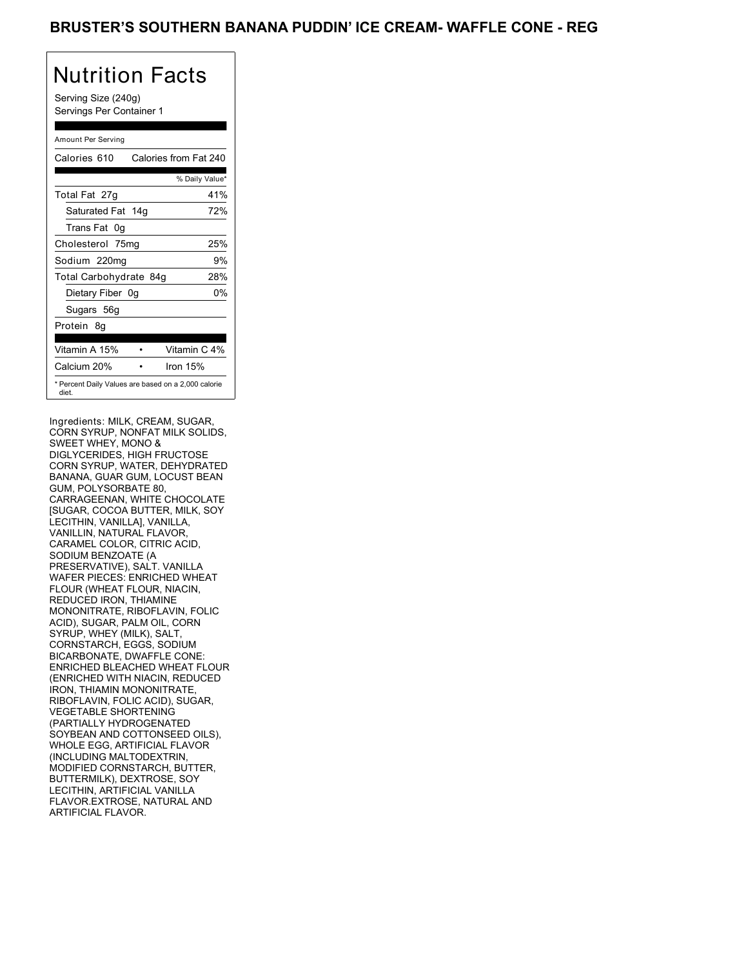Serving Size (240g) Servings Per Container 1

### Amount Per Serving

| Calories 610           | Calories from Fat 240                               |
|------------------------|-----------------------------------------------------|
|                        | % Daily Value*                                      |
| Total Fat 27g          | 41%                                                 |
| Saturated Fat 14g      | 72%                                                 |
| Trans Fat 0q           |                                                     |
| Cholesterol 75mg       | 25%                                                 |
| Sodium 220mg           | 9%                                                  |
| Total Carbohydrate 84g | 28%                                                 |
| Dietary Fiber 0g       | 0%                                                  |
| Sugars 56g             |                                                     |
| Protein 8q             |                                                     |
| Vitamin A 15%          | Vitamin C 4%                                        |
| Calcium 20%            | Iron $15%$                                          |
| diet.                  | * Percent Daily Values are based on a 2,000 calorie |

Ingredients: MILK, CREAM, SUGAR, CORN SYRUP, NONFAT MILK SOLIDS, SWEET WHEY, MONO & DIGLYCERIDES, HIGH FRUCTOSE CORN SYRUP, WATER, DEHYDRATED BANANA, GUAR GUM, LOCUST BEAN GUM, POLYSORBATE 80, CARRAGEENAN, WHITE CHOCOLATE [SUGAR, COCOA BUTTER, MILK, SOY LECITHIN, VANILLA], VANILLA, VANILLIN, NATURAL FLAVOR, CARAMEL COLOR, CITRIC ACID, SODIUM BENZOATE (A PRESERVATIVE), SALT. VANILLA WAFER PIECES: ENRICHED WHEAT FLOUR (WHEAT FLOUR, NIACIN, REDUCED IRON, THIAMINE MONONITRATE, RIBOFLAVIN, FOLIC ACID), SUGAR, PALM OIL, CORN SYRUP, WHEY (MILK), SALT, CORNSTARCH, EGGS, SODIUM BICARBONATE, DWAFFLE CONE: ENRICHED BLEACHED WHEAT FLOUR (ENRICHED WITH NIACIN, REDUCED IRON, THIAMIN MONONITRATE, RIBOFLAVIN, FOLIC ACID), SUGAR, VEGETABLE SHORTENING (PARTIALLY HYDROGENATED SOYBEAN AND COTTONSEED OILS), WHOLE EGG, ARTIFICIAL FLAVOR (INCLUDING MALTODEXTRIN, MODIFIED CORNSTARCH, BUTTER, BUTTERMILK), DEXTROSE, SOY LECITHIN, ARTIFICIAL VANILLA FLAVOR.EXTROSE, NATURAL AND ARTIFICIAL FLAVOR.